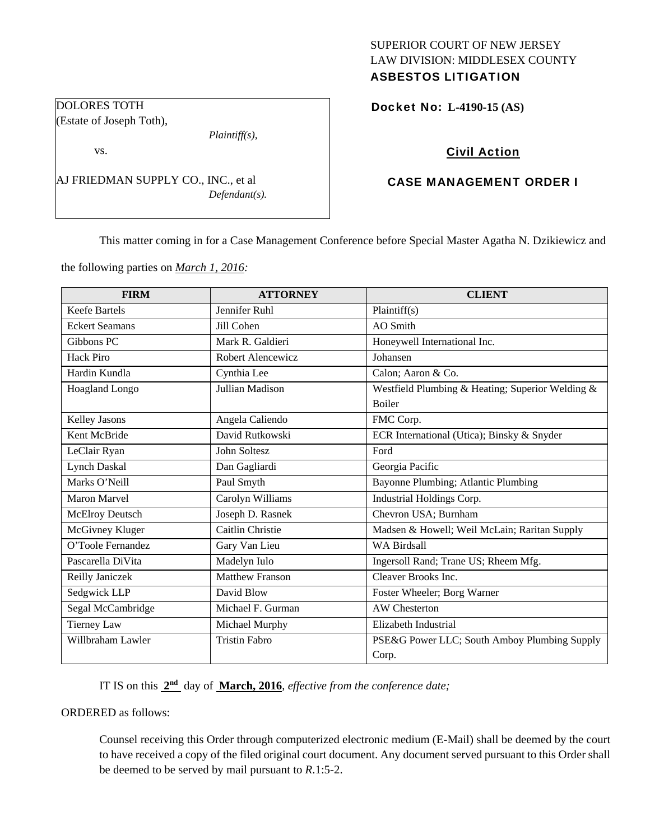## SUPERIOR COURT OF NEW JERSEY LAW DIVISION: MIDDLESEX COUNTY ASBESTOS LITIGATION

Docket No: **L-4190-15 (AS)** 

## Civil Action

## CASE MANAGEMENT ORDER I

This matter coming in for a Case Management Conference before Special Master Agatha N. Dzikiewicz and

the following parties on *March 1, 2016:* 

AJ FRIEDMAN SUPPLY CO., INC., et al

*Plaintiff(s),* 

*Defendant(s).* 

DOLORES TOTH (Estate of Joseph Toth),

vs.

| <b>FIRM</b>           | <b>ATTORNEY</b>        | <b>CLIENT</b>                                    |
|-----------------------|------------------------|--------------------------------------------------|
| <b>Keefe Bartels</b>  | Jennifer Ruhl          | Plaintiff(s)                                     |
| <b>Eckert Seamans</b> | Jill Cohen             | AO Smith                                         |
| Gibbons PC            | Mark R. Galdieri       | Honeywell International Inc.                     |
| <b>Hack Piro</b>      | Robert Alencewicz      | Johansen                                         |
| Hardin Kundla         | Cynthia Lee            | Calon; Aaron & Co.                               |
| Hoagland Longo        | Jullian Madison        | Westfield Plumbing & Heating; Superior Welding & |
|                       |                        | <b>Boiler</b>                                    |
| Kelley Jasons         | Angela Caliendo        | FMC Corp.                                        |
| Kent McBride          | David Rutkowski        | ECR International (Utica); Binsky & Snyder       |
| LeClair Ryan          | John Soltesz           | Ford                                             |
| Lynch Daskal          | Dan Gagliardi          | Georgia Pacific                                  |
| Marks O'Neill         | Paul Smyth             | Bayonne Plumbing; Atlantic Plumbing              |
| Maron Marvel          | Carolyn Williams       | Industrial Holdings Corp.                        |
| McElroy Deutsch       | Joseph D. Rasnek       | Chevron USA; Burnham                             |
| McGivney Kluger       | Caitlin Christie       | Madsen & Howell; Weil McLain; Raritan Supply     |
| O'Toole Fernandez     | Gary Van Lieu          | <b>WA Birdsall</b>                               |
| Pascarella DiVita     | Madelyn Iulo           | Ingersoll Rand; Trane US; Rheem Mfg.             |
| Reilly Janiczek       | <b>Matthew Franson</b> | Cleaver Brooks Inc.                              |
| Sedgwick LLP          | David Blow             | Foster Wheeler; Borg Warner                      |
| Segal McCambridge     | Michael F. Gurman      | <b>AW</b> Chesterton                             |
| Tierney Law           | Michael Murphy         | Elizabeth Industrial                             |
| Willbraham Lawler     | <b>Tristin Fabro</b>   | PSE&G Power LLC; South Amboy Plumbing Supply     |
|                       |                        | Corp.                                            |

IT IS on this **2nd** day of **March, 2016**, *effective from the conference date;*

ORDERED as follows:

Counsel receiving this Order through computerized electronic medium (E-Mail) shall be deemed by the court to have received a copy of the filed original court document. Any document served pursuant to this Order shall be deemed to be served by mail pursuant to *R*.1:5-2.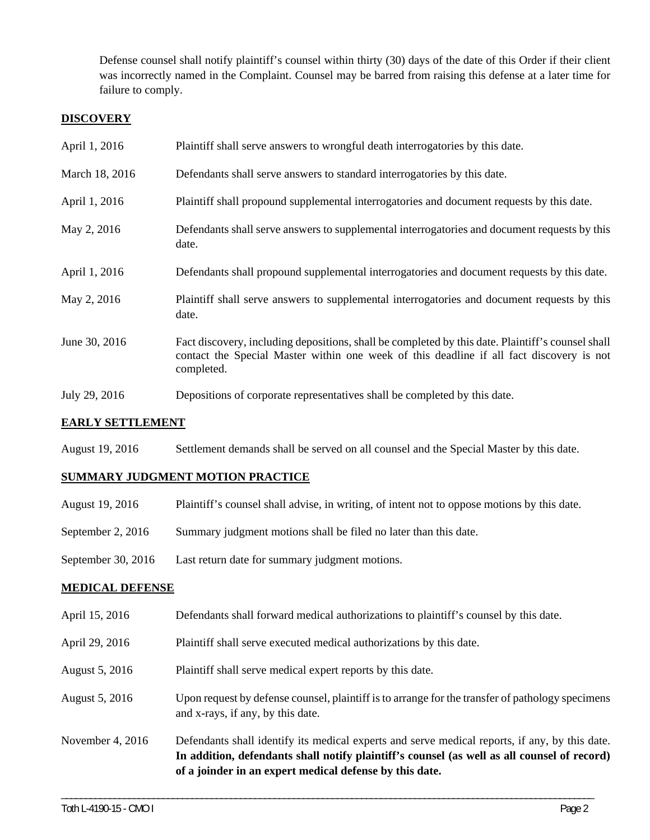Defense counsel shall notify plaintiff's counsel within thirty (30) days of the date of this Order if their client was incorrectly named in the Complaint. Counsel may be barred from raising this defense at a later time for failure to comply.

#### **DISCOVERY**

| April 1, 2016           | Plaintiff shall serve answers to wrongful death interrogatories by this date.                                                                                                                               |  |
|-------------------------|-------------------------------------------------------------------------------------------------------------------------------------------------------------------------------------------------------------|--|
| March 18, 2016          | Defendants shall serve answers to standard interrogatories by this date.                                                                                                                                    |  |
| April 1, 2016           | Plaintiff shall propound supplemental interrogatories and document requests by this date.                                                                                                                   |  |
| May 2, 2016             | Defendants shall serve answers to supplemental interrogatories and document requests by this<br>date.                                                                                                       |  |
| April 1, 2016           | Defendants shall propound supplemental interrogatories and document requests by this date.                                                                                                                  |  |
| May 2, 2016             | Plaintiff shall serve answers to supplemental interrogatories and document requests by this<br>date.                                                                                                        |  |
| June 30, 2016           | Fact discovery, including depositions, shall be completed by this date. Plaintiff's counsel shall<br>contact the Special Master within one week of this deadline if all fact discovery is not<br>completed. |  |
| July 29, 2016           | Depositions of corporate representatives shall be completed by this date.                                                                                                                                   |  |
| <b>EARLY SETTLEMENT</b> |                                                                                                                                                                                                             |  |

# August 19, 2016 Settlement demands shall be served on all counsel and the Special Master by this date.

## **SUMMARY JUDGMENT MOTION PRACTICE**

| August 19, 2016      | Plaintiff's counsel shall advise, in writing, of intent not to oppose motions by this date. |
|----------------------|---------------------------------------------------------------------------------------------|
| September 2, 2016    | Summary judgment motions shall be filed no later than this date.                            |
| September 30, $2016$ | Last return date for summary judgment motions.                                              |

## **MEDICAL DEFENSE**

| April 15, 2016     | Defendants shall forward medical authorizations to plaintiff's counsel by this date.                                                                                                                                                                     |
|--------------------|----------------------------------------------------------------------------------------------------------------------------------------------------------------------------------------------------------------------------------------------------------|
| April 29, 2016     | Plaintiff shall serve executed medical authorizations by this date.                                                                                                                                                                                      |
| August 5, 2016     | Plaintiff shall serve medical expert reports by this date.                                                                                                                                                                                               |
| August 5, 2016     | Upon request by defense counsel, plaintiff is to arrange for the transfer of pathology specimens<br>and x-rays, if any, by this date.                                                                                                                    |
| November 4, $2016$ | Defendants shall identify its medical experts and serve medical reports, if any, by this date.<br>In addition, defendants shall notify plaintiff's counsel (as well as all counsel of record)<br>of a joinder in an expert medical defense by this date. |

\_\_\_\_\_\_\_\_\_\_\_\_\_\_\_\_\_\_\_\_\_\_\_\_\_\_\_\_\_\_\_\_\_\_\_\_\_\_\_\_\_\_\_\_\_\_\_\_\_\_\_\_\_\_\_\_\_\_\_\_\_\_\_\_\_\_\_\_\_\_\_\_\_\_\_\_\_\_\_\_\_\_\_\_\_\_\_\_\_\_\_\_\_\_\_\_\_\_\_\_\_\_\_\_\_\_\_\_\_\_